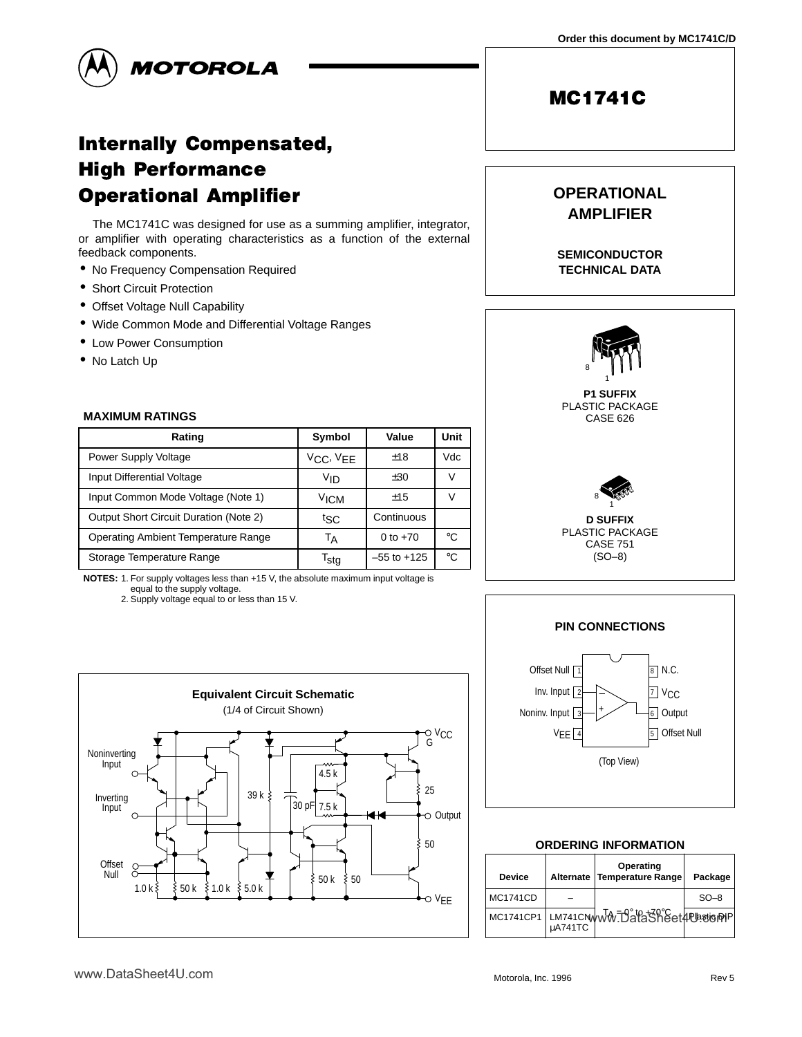

# **Internally Compensated, High Performance Operational Amplifier**

The MC1741C was designed for use as a summing amplifier, integrator, or amplifier with operating characteristics as a function of the external feedback components.

- No Frequency Compensation Required
- Short Circuit Protection
- Offset Voltage Null Capability
- Wide Common Mode and Differential Voltage Ranges
- Low Power Consumption
- No Latch Up

#### **MAXIMUM RATINGS**

| Rating                                        | Symbol              | Value           | Unit |
|-----------------------------------------------|---------------------|-----------------|------|
| Power Supply Voltage                          | $V_{CC}$ , $V_{EE}$ | ±18             | Vdc  |
| Input Differential Voltage                    | Vın                 | ±30             |      |
| Input Common Mode Voltage (Note 1)            | ∨ісм                | ±15             |      |
| <b>Output Short Circuit Duration (Note 2)</b> | tsc                 | Continuous      |      |
| <b>Operating Ambient Temperature Range</b>    | Тд                  | 0 to $+70$      | ി∘   |
| Storage Temperature Range                     | Tsta                | $-55$ to $+125$ | ∘∩   |

**NOTES:** 1. For supply voltages less than +15 V, the absolute maximum input voltage is equal to the supply voltage.

2. Supply voltage equal to or less than 15 V.



# **OPERATIONAL AMPLIFIER**

**MC1741C** 

**SEMICONDUCTOR TECHNICAL DATA**





### **ORDERING INFORMATION**

| <b>Device</b>   | <b>Alternate</b> | Operating<br>Temperature Range         | Package |
|-----------------|------------------|----------------------------------------|---------|
| <b>MC1741CD</b> |                  |                                        | $SO-8$  |
|                 | uA741TC          | MC1741CP1 LM741CNWW.DataSheet4Petisppp |         |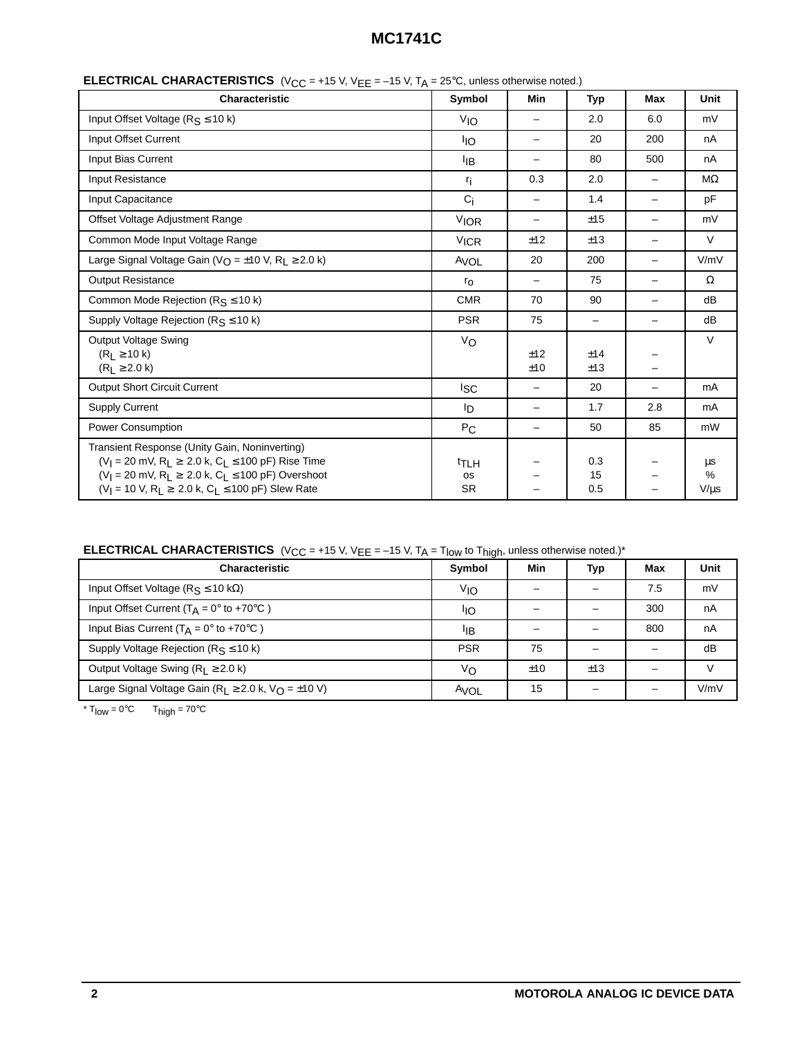| <b>Characteristic</b>                                                                                                                                                                                                                                                              | Symbol                                     | Min               | <b>Typ</b>               | <b>Max</b>               | Unit                    |
|------------------------------------------------------------------------------------------------------------------------------------------------------------------------------------------------------------------------------------------------------------------------------------|--------------------------------------------|-------------------|--------------------------|--------------------------|-------------------------|
| Input Offset Voltage ( $R_S \le 10$ k)                                                                                                                                                                                                                                             | <b>V<sub>IO</sub></b>                      |                   | 2.0                      | 6.0                      | mV                      |
| Input Offset Current                                                                                                                                                                                                                                                               | ŀιo                                        | -                 | 20                       | 200                      | nA                      |
| Input Bias Current                                                                                                                                                                                                                                                                 | ŀв                                         | -                 | 80                       | 500                      | nA                      |
| Input Resistance                                                                                                                                                                                                                                                                   | r <sub>i</sub>                             | 0.3               | 2.0                      | —                        | $M\Omega$               |
| Input Capacitance                                                                                                                                                                                                                                                                  | $C_i$                                      | -                 | 1.4                      | $\overline{\phantom{m}}$ | pF                      |
| Offset Voltage Adjustment Range                                                                                                                                                                                                                                                    | <b>VIOR</b>                                | -                 | ±15                      | -                        | mV                      |
| Common Mode Input Voltage Range                                                                                                                                                                                                                                                    | <b>VICR</b>                                | ±12               | ±13                      | -                        | $\vee$                  |
| Large Signal Voltage Gain ( $V_O = \pm 10$ V, R <sub>L</sub> $\geq$ 2.0 k)                                                                                                                                                                                                         | AVOL                                       | 20                | 200                      | —                        | V/mV                    |
| <b>Output Resistance</b>                                                                                                                                                                                                                                                           | $r_{\rm O}$                                | $\qquad \qquad -$ | 75                       | -                        | $\Omega$                |
| Common Mode Rejection ( $R_S \le 10$ k)                                                                                                                                                                                                                                            | <b>CMR</b>                                 | 70                | 90                       | $\overline{\phantom{m}}$ | dB                      |
| Supply Voltage Rejection ( $R_S \le 10$ k)                                                                                                                                                                                                                                         | <b>PSR</b>                                 | 75                | $\overline{\phantom{0}}$ | -                        | dB                      |
| <b>Output Voltage Swing</b><br>$(R1 \ge 10 k)$<br>$(R_L \ge 2.0 k)$                                                                                                                                                                                                                | V <sub>O</sub>                             | ±12<br>±10        | ±14<br>±13               |                          | $\vee$                  |
| <b>Output Short Circuit Current</b>                                                                                                                                                                                                                                                | <b>I</b> sc                                |                   | 20                       | -                        | mA                      |
| <b>Supply Current</b>                                                                                                                                                                                                                                                              | lD.                                        | -                 | 1.7                      | 2.8                      | mA                      |
| <b>Power Consumption</b>                                                                                                                                                                                                                                                           | $P_{\rm C}$                                | -                 | 50                       | 85                       | mW                      |
| Transient Response (Unity Gain, Noninverting)<br>$(V_1 = 20 \text{ mV}, R_2 \ge 2.0 \text{ k}, C_2 \le 100 \text{ pF})$ Rise Time<br>$(V_l = 20 \text{ mV}, R_l \geq 2.0 \text{ k}, C_l \leq 100 \text{ pF})$ Overshoot<br>$(V_1 = 10 V, R_2 \ge 2.0 k, C_2 \le 100 pF)$ Slew Rate | <sup>t</sup> TLH<br><b>OS</b><br><b>SR</b> |                   | 0.3<br>15<br>0.5         |                          | μs<br>$\%$<br>$V/\mu s$ |

**ELECTRICAL CHARACTERISTICS** ( $V_{CC}$  = +15 V,  $V_{EE}$  = -15 V,  $T_A$  = 25°C, unless otherwise noted.)

**ELECTRICAL CHARACTERISTICS** (V<sub>CC</sub> = +15 V, V<sub>EE</sub> = -15 V, T<sub>A</sub> = T<sub>low</sub> to T<sub>high</sub>, unless otherwise noted.)\*

| <b>Characteristic</b>                                          | <b>Symbol</b> | Min | <b>Typ</b> | Max | Unit          |
|----------------------------------------------------------------|---------------|-----|------------|-----|---------------|
| Input Offset Voltage ( $R_S \le 10 \text{ k}\Omega$ )          | VIO           |     |            | 7.5 | mV            |
| Input Offset Current ( $T_A = 0^\circ$ to +70 $^\circ$ C)      | ŀю            |     |            | 300 | nA            |
| Input Bias Current ( $T_A = 0^\circ$ to +70 $\circ$ C)         | ŀв            |     |            | 800 | nA            |
| Supply Voltage Rejection ( $R_S \le 10$ k)                     | <b>PSR</b>    | 75  |            | -   | dB            |
| Output Voltage Swing ( $R_1 \ge 2.0$ k)                        | Vo            | ±10 | ±13        |     | $\mathcal{U}$ |
| Large Signal Voltage Gain ( $R_L \ge 2.0$ k, $V_O = \pm 10$ V) | AVOL          | 15  |            |     | V/mV          |

 $*$  T<sub>low</sub> = 0°C T<sub>high</sub> = 70°C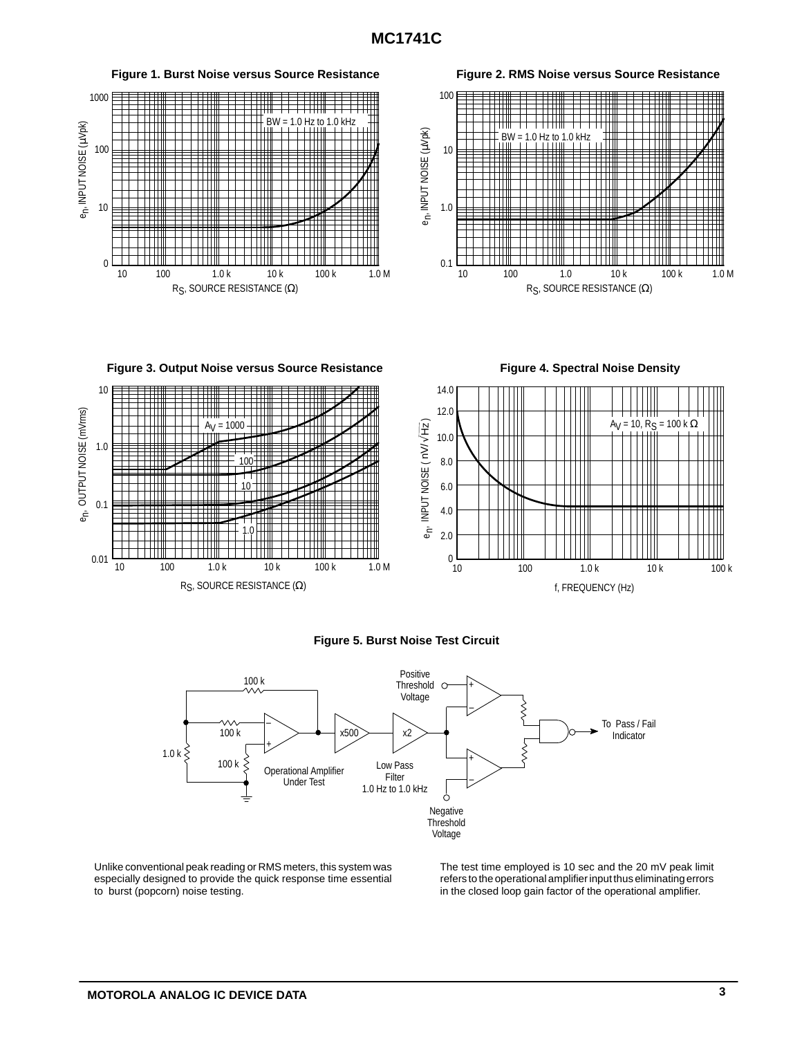

#### **Figure 5. Burst Noise Test Circuit**



Unlike conventional peak reading or RMS meters, this system was especially designed to provide the quick response time essential to burst (popcorn) noise testing.

The test time employed is 10 sec and the 20 mV peak limit refers to the operational amplifier input thus eliminating errors in the closed loop gain factor of the operational amplifier.

f, FREQUENCY (Hz)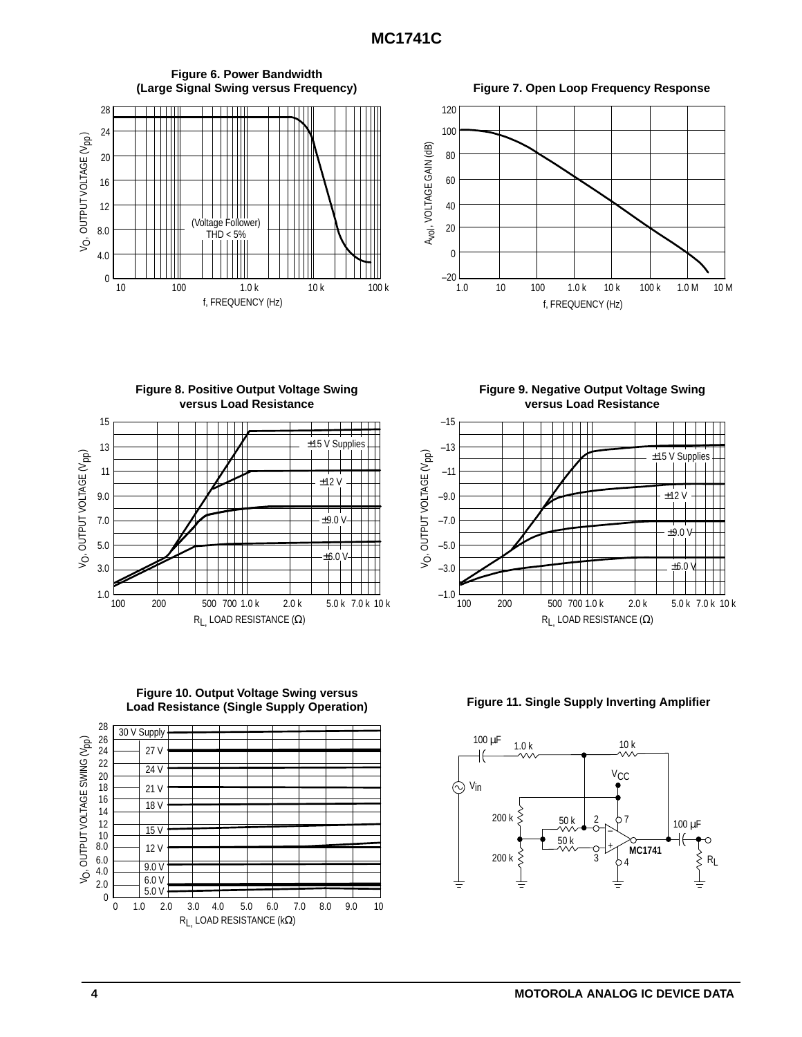

**versus Load Resistance** 15  $±15$  V Supplies 13 V<sub>O</sub>, OUTPUT VOLTAGE (V<sub>pp</sub>) VO, OUTPUT VOLTAGE (V<sub>PP</sub>) 11  $+12$ 9.0 7.0  $+9.0$ ┱ 5.0  $± 6.0$ 3.0 1.0 100 200 500 700 1.0 k 2.0 k 5.0 k 7.0 k 10 k RL, LOAD RESISTANCE (Ω)

**Figure 8. Positive Output Voltage Swing**





**Figure 10. Output Voltage Swing versus**

**Load Resistance (Single Supply Operation) Figure 11. Single Supply Inverting Amplifier**



**Figure 9. Negative Output Voltage Swing versus Load Resistance**

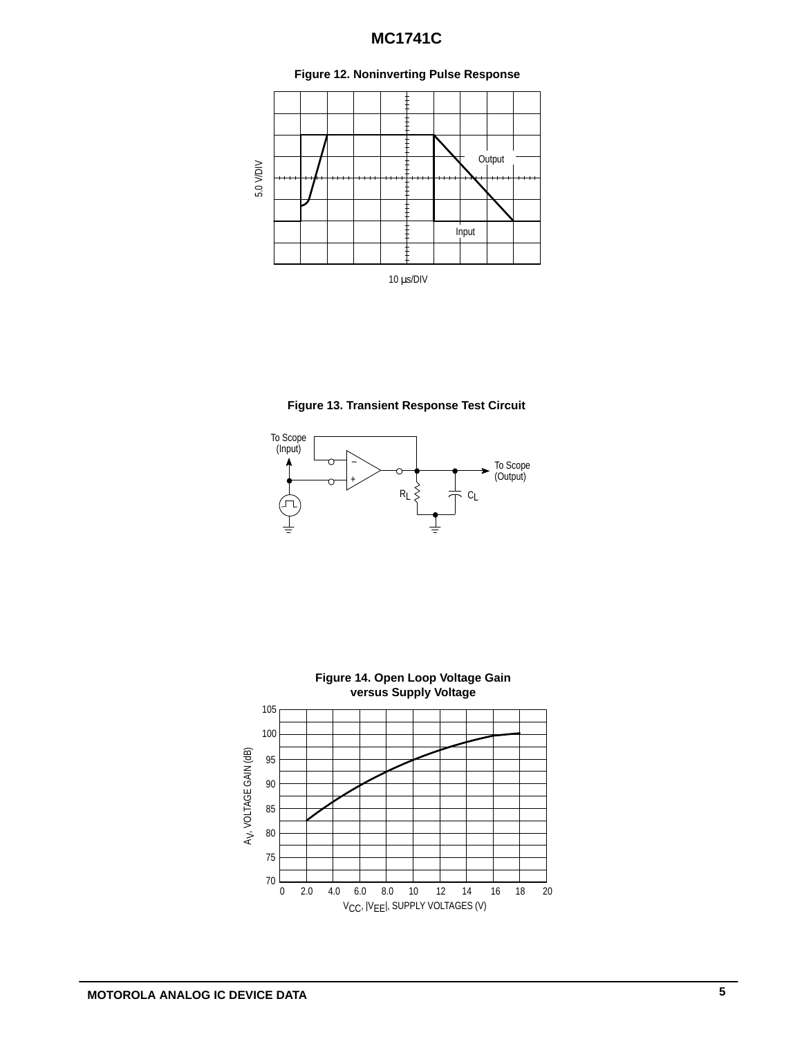

### **Figure 12. Noninverting Pulse Response**





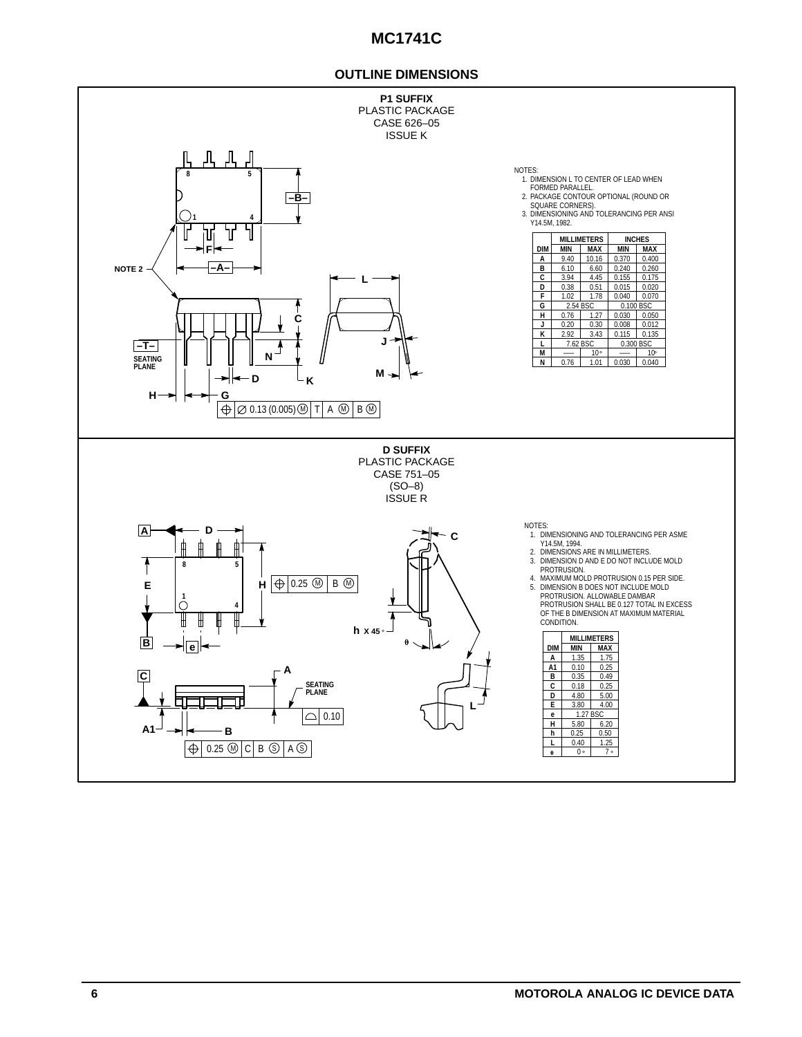### **OUTLINE DIMENSIONS**

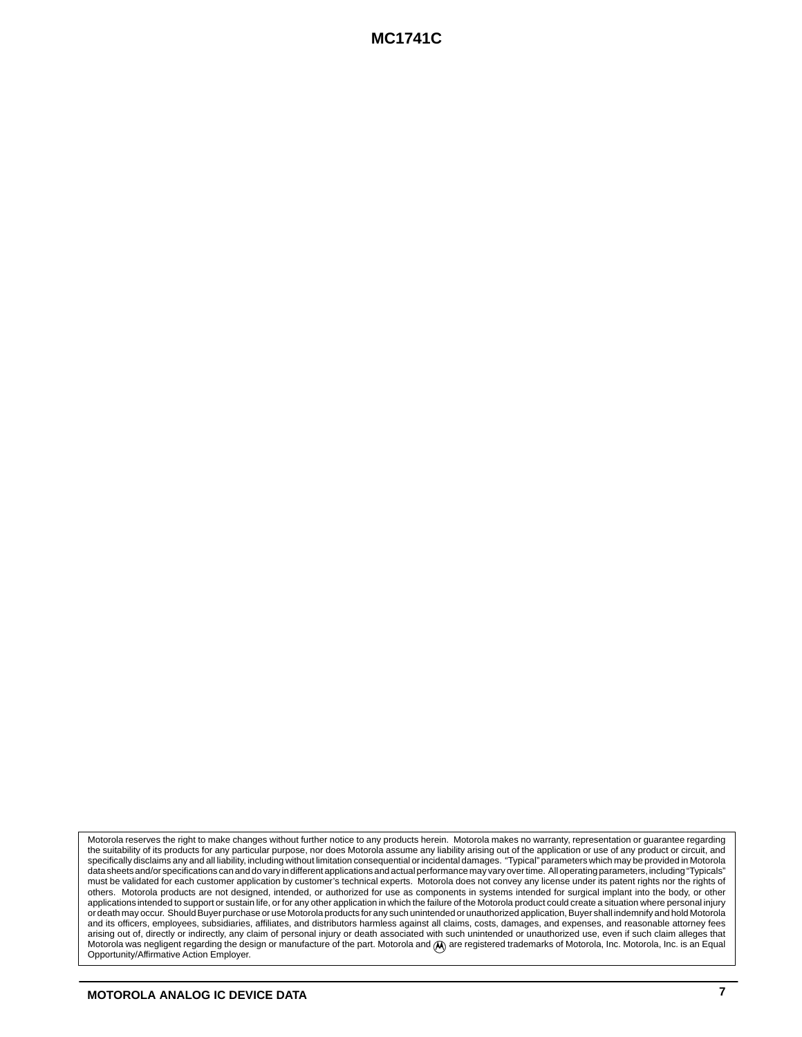Motorola reserves the right to make changes without further notice to any products herein. Motorola makes no warranty, representation or guarantee regarding the suitability of its products for any particular purpose, nor does Motorola assume any liability arising out of the application or use of any product or circuit, and specifically disclaims any and all liability, including without limitation consequential or incidental damages. "Typical" parameters which may be provided in Motorola data sheets and/or specifications can and do vary in different applications and actual performance may vary over time. All operating parameters, including "Typicals" must be validated for each customer application by customer's technical experts. Motorola does not convey any license under its patent rights nor the rights of others. Motorola products are not designed, intended, or authorized for use as components in systems intended for surgical implant into the body, or other applications intended to support or sustain life, or for any other application in which the failure of the Motorola product could create a situation where personal injury or death may occur. Should Buyer purchase or use Motorola products for any such unintended or unauthorized application, Buyer shall indemnify and hold Motorola and its officers, employees, subsidiaries, affiliates, and distributors harmless against all claims, costs, damages, and expenses, and reasonable attorney fees<br>arising out of, directly or indirectly, any claim of personal Motorola was negligent regarding the design or manufacture of the part. Motorola and  $( A )$  are registered trademarks of Motorola, Inc. Motorola, Inc. is an Equal Opportunity/Affirmative Action Employer.